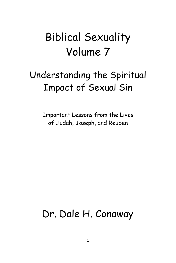# Biblical Sexuality Volume 7

# Understanding the Spiritual Impact of Sexual Sin

Important Lessons from the Lives of Judah, Joseph, and Reuben

## Dr. Dale H. Conaway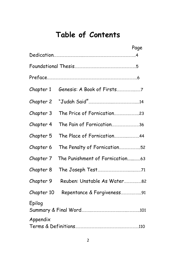## **Table of Contents**

|            |                                 | Page |
|------------|---------------------------------|------|
|            |                                 |      |
|            |                                 |      |
| Chapter 1  |                                 |      |
| Chapter 2  |                                 |      |
| Chapter 3  |                                 |      |
| Chapter 4  | The Pain of Fornication36       |      |
| Chapter 5  | The Place of Fornication44      |      |
| Chapter 6  | The Penalty of Fornication52    |      |
| Chapter 7  | The Punishment of Fornication63 |      |
| Chapter 8  |                                 |      |
| Chapter 9  | Reuben: Unstable As Water82     |      |
| Chapter 10 | Repentance & Forgiveness91      |      |
| Epilog     |                                 |      |
| Appendix   |                                 |      |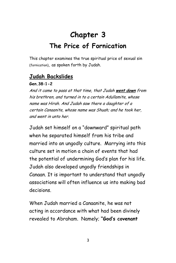## **Chapter 3 The Price of Fornication**

This chapter examines the true spiritual price of sexual sin (fornication), as spoken forth by Judah.

## **Judah Backslides**

#### **Gen.38:1-2**

And it came to pass at that time, that Judah **went down** from his brethren, and turned in to a certain Adullamite, whose name was Hirah. And Judah saw there a daughter of a certain Canaanite, whose name was Shuah; and he took her, and went in unto her.

Judah set himself on a "downward" spiritual path when he separated himself from his tribe and married into an ungodly culture. Marrying into this culture set in motion a chain of events that had the potential of undermining God's plan for his life. Judah also developed ungodly friendships in Canaan. It is important to understand that ungodly associations will often influence us into making bad decisions.

When Judah married a Canaanite, he was not acting in accordance with what had been divinely revealed to Abraham. Namely; **"God's covenant**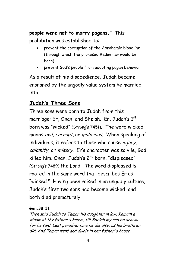**people were not to marry pagans."** This prohibition was established to:

- prevent the corruption of the Abrahamic bloodline (through which the promised Redeemer would be born)
- prevent God's people from adopting pagan behavior

As a result of his disobedience, Judah became ensnared by the ungodly value system he married into.

### **Judah's Three Sons**

Three sons were born to Judah from this marriage: Er, Onan, and Shelah. Er, Judah's 1<sup>st</sup> born was "wicked" (Strong's 7451). The word wicked means evil, corrupt, or malicious. When speaking of individuals, it refers to those who cause *injury*, calamity, or misery. Er's character was so vile, God killed him. Onan, Judah's 2<sup>nd</sup> born, "displeased" (Strong's 7489) the Lord. The word displeased is rooted in the same word that describes Er as "wicked." Having been raised in an ungodly culture, Judah's first two sons had become wicked, and both died prematurely.

#### **Gen.38:11**

Then said Judah to Tamar his daughter in law, Remain a widow at thy father's house, till Shelah my son be grown: for he said, Lest peradventure he die also, as his brethren did. And Tamar went and dwelt in her father's house.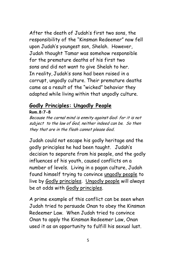After the death of Judah's first two sons, the responsibility of the "Kinsman Redeemer" now fell upon Judah's youngest son, Shelah. However, Judah thought Tamar was somehow responsible for the premature deaths of his first two sons and did not want to give Shelah to her. In reality, Judah's sons had been raised in a corrupt, ungodly culture. Their premature deaths came as a result of the "wicked" behavior they adapted while living within that ungodly culture.

## **Godly Principles: Ungodly People**

**Rom.8:7-8**

Because the carnal mind is enmity against God: for it is not subject to the law of God, neither indeed can be. So then they that are in the flesh cannot please God.

Judah could not escape his godly heritage and the godly principles he had been taught. Judah's decision to separate from his people, and the godly influences of his youth, caused conflicts on a number of levels. Living in a pagan culture, Judah found himself trying to convince ungodly people to live by Godly principles. Ungodly people will always be at odds with Godly principles.

A prime example of this conflict can be seen when Judah tried to persuade Onan to obey the Kinsman Redeemer Law. When Judah tried to convince Onan to apply the Kinsman Redeemer Law, Onan used it as an opportunity to fulfill his sexual lust.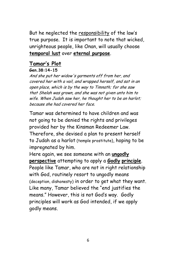But he neglected the responsibility of the law's true purpose. It is important to note that wicked, unrighteous people, like Onan, will usually choose **temporal lust** over **eternal purpose**.

## **Tamar's Plot**

#### **Gen.38:14-15**

And she put her widow's garments off from her, and covered her with a vail, and wrapped herself, and sat in an open place, which is by the way to Timnath; for she saw that Shelah was grown, and she was not given unto him to wife. When Judah saw her, he thought her to be an harlot; because she had covered her face.

Tamar was determined to have children and was not going to be denied the rights and privileges provided her by the Kinsman Redeemer Law. Therefore, she devised a plan to present herself to Judah as a harlot (temple prostitute), hoping to be impregnated by him.

Here again, we see someone with an **ungodly perspective** attempting to apply a **Godly principle**. People like Tamar, who are not in right relationship with God, routinely resort to ungodly means (deception, dishonesty) in order to get what they want. Like many, Tamar believed the "end justifies the means." However, this is not God's way. Godly principles will work as God intended, if we apply godly means.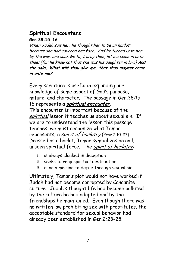## **Spiritual Encounters**

#### **Gen.38:15-16**

When Judah saw her, he thought her to be an **harlot**; because she had covered her face. And he turned unto her by the way, and said, Go to, I pray thee, let me come in unto thee; (for he knew not that she was his daughter in law.) **And she said, What wilt thou give me, that thou mayest come in unto me?**

Every scripture is useful in expanding our knowledge of some aspect of God's purpose, nature, and character. The passage in Gen.38:15- 16 represents a **spiritual encounter**. This encounter is important because of the spiritual lesson it teaches us about sexual sin. If we are to understand the lesson this passage teaches, we must recognize what Tamar represents; a *spirit of harlotry* (Prov.7:10-27). Dressed as a harlot, Tamar symbolizes an evil, unseen spiritual force. The spirit of harlotry.

- 1. is always cloaked in deception
- 2. seeks to reap spiritual destruction
- 3. is on a mission to defile through sexual sin

Ultimately, Tamar's plot would not have worked if Judah had not become corrupted by Canaanite culture. Judah's thought life had become polluted by the culture he had adopted and by the friendships he maintained. Even though there was no written law prohibiting sex with prostitutes, the acceptable standard for sexual behavior had already been established in Gen.2:23-25.